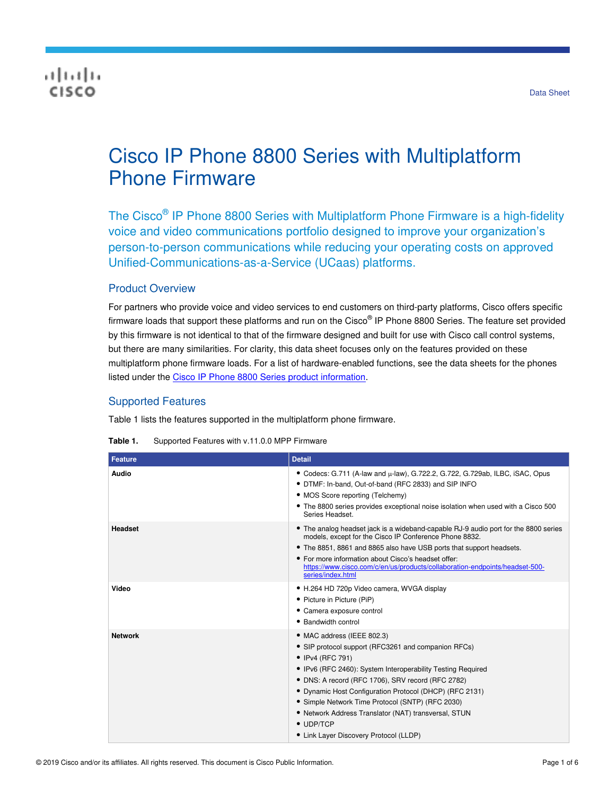## بالبيان CISCO

# Cisco IP Phone 8800 Series with Multiplatform Phone Firmware

The Cisco<sup>®</sup> IP Phone 8800 Series with Multiplatform Phone Firmware is a high-fidelity voice and video communications portfolio designed to improve your organization's person-to-person communications while reducing your operating costs on approved Unified-Communications-as-a-Service (UCaas) platforms.

## Product Overview

For partners who provide voice and video services to end customers on third-party platforms, Cisco offers specific firmware loads that support these platforms and run on the Cisco® IP Phone 8800 Series. The feature set provided by this firmware is not identical to that of the firmware designed and built for use with Cisco call control systems, but there are many similarities. For clarity, this data sheet focuses only on the features provided on these multiplatform phone firmware loads. For a list of hardware-enabled functions, see the data sheets for the phones listed under the [Cisco IP Phone 8800 Series product information.](https://www.cisco.com/c/en/us/products/collaboration-endpoints/unified-ip-phone-8800-series/index.html)

## Supported Features

Table 1 lists the features supported in the multiplatform phone firmware.

| <b>Feature</b> | <b>Detail</b>                                                                                                                                                                                                                                                                                                                                                                                                                                                   |
|----------------|-----------------------------------------------------------------------------------------------------------------------------------------------------------------------------------------------------------------------------------------------------------------------------------------------------------------------------------------------------------------------------------------------------------------------------------------------------------------|
| Audio          | • Codecs: G.711 (A-law and µ-law), G.722.2, G.722, G.729ab, ILBC, iSAC, Opus<br>• DTMF: In-band, Out-of-band (RFC 2833) and SIP INFO<br>• MOS Score reporting (Telchemy)<br>• The 8800 series provides exceptional noise isolation when used with a Cisco 500<br>Series Headset.                                                                                                                                                                                |
| <b>Headset</b> | • The analog headset jack is a wideband-capable RJ-9 audio port for the 8800 series<br>models, except for the Cisco IP Conference Phone 8832.<br>• The 8851, 8861 and 8865 also have USB ports that support headsets.<br>• For more information about Cisco's headset offer:<br>https://www.cisco.com/c/en/us/products/collaboration-endpoints/headset-500-<br>series/index.html                                                                                |
| Video          | • H.264 HD 720p Video camera, WVGA display<br>• Picture in Picture (PiP)<br>• Camera exposure control<br>• Bandwidth control                                                                                                                                                                                                                                                                                                                                    |
| <b>Network</b> | • MAC address (IEEE 802.3)<br>• SIP protocol support (RFC3261 and companion RFCs)<br>• IPv4 (RFC 791)<br>• IPv6 (RFC 2460): System Interoperability Testing Required<br>• DNS: A record (RFC 1706), SRV record (RFC 2782)<br>• Dynamic Host Configuration Protocol (DHCP) (RFC 2131)<br>• Simple Network Time Protocol (SNTP) (RFC 2030)<br>• Network Address Translator (NAT) transversal, STUN<br>$\bullet$ UDP/TCP<br>• Link Layer Discovery Protocol (LLDP) |

**Table 1.** Supported Features with v.11.0.0 MPP Firmware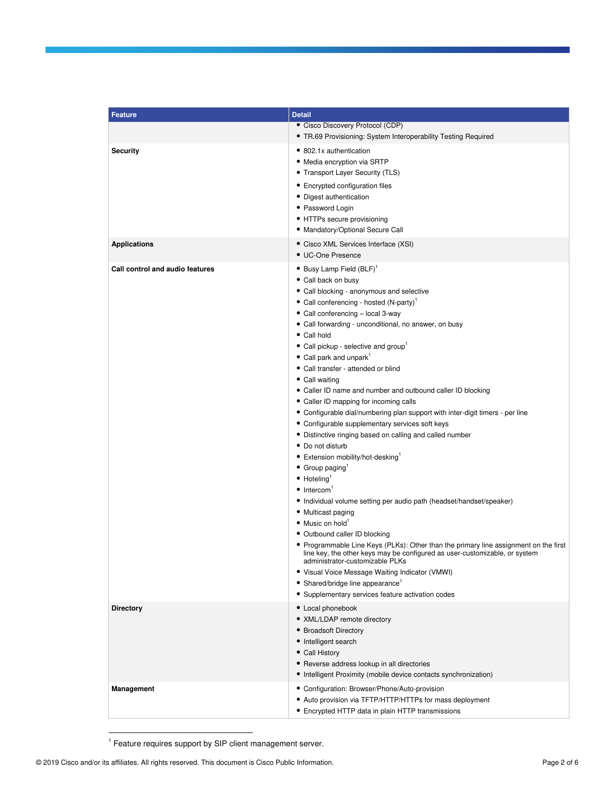| <b>Feature</b>                  | <b>Detail</b>                                                                                                                                                                                         |
|---------------------------------|-------------------------------------------------------------------------------------------------------------------------------------------------------------------------------------------------------|
|                                 | • Cisco Discovery Protocol (CDP)                                                                                                                                                                      |
|                                 | • TR.69 Provisioning: System Interoperability Testing Required                                                                                                                                        |
| <b>Security</b>                 | • 802.1x authentication                                                                                                                                                                               |
|                                 | • Media encryption via SRTP                                                                                                                                                                           |
|                                 | • Transport Layer Security (TLS)                                                                                                                                                                      |
|                                 | • Encrypted configuration files                                                                                                                                                                       |
|                                 | • Digest authentication                                                                                                                                                                               |
|                                 | • Password Login                                                                                                                                                                                      |
|                                 | • HTTPs secure provisioning                                                                                                                                                                           |
|                                 | • Mandatory/Optional Secure Call                                                                                                                                                                      |
| <b>Applications</b>             | • Cisco XML Services Interface (XSI)                                                                                                                                                                  |
|                                 | • UC-One Presence                                                                                                                                                                                     |
| Call control and audio features | $\bullet$ Busy Lamp Field (BLF) <sup>1</sup>                                                                                                                                                          |
|                                 | • Call back on busy                                                                                                                                                                                   |
|                                 | · Call blocking - anonymous and selective                                                                                                                                                             |
|                                 | • Call conferencing - hosted (N-party) <sup>1</sup>                                                                                                                                                   |
|                                 | • Call conferencing - local 3-way                                                                                                                                                                     |
|                                 | • Call forwarding - unconditional, no answer, on busy                                                                                                                                                 |
|                                 | • Call hold                                                                                                                                                                                           |
|                                 | • Call pickup - selective and group <sup>1</sup>                                                                                                                                                      |
|                                 | • Call park and unpark <sup>1</sup>                                                                                                                                                                   |
|                                 | • Call transfer - attended or blind                                                                                                                                                                   |
|                                 | • Call waiting<br>• Caller ID name and number and outbound caller ID blocking                                                                                                                         |
|                                 | • Caller ID mapping for incoming calls                                                                                                                                                                |
|                                 | • Configurable dial/numbering plan support with inter-digit timers - per line                                                                                                                         |
|                                 | • Configurable supplementary services soft keys                                                                                                                                                       |
|                                 | · Distinctive ringing based on calling and called number                                                                                                                                              |
|                                 | • Do not disturb                                                                                                                                                                                      |
|                                 | • Extension mobility/hot-desking <sup>1</sup>                                                                                                                                                         |
|                                 | $\bullet$ Group paging                                                                                                                                                                                |
|                                 | $\bullet$ Hoteling <sup>1</sup>                                                                                                                                                                       |
|                                 | $\bullet$ Intercom <sup>1</sup>                                                                                                                                                                       |
|                                 | • Individual volume setting per audio path (headset/handset/speaker)                                                                                                                                  |
|                                 | • Multicast paging                                                                                                                                                                                    |
|                                 | • Music on hold <sup>1</sup>                                                                                                                                                                          |
|                                 | • Outbound caller ID blocking                                                                                                                                                                         |
|                                 | • Programmable Line Keys (PLKs): Other than the primary line assignment on the first<br>line key, the other keys may be configured as user-customizable, or system<br>administrator-customizable PLKs |
|                                 | • Visual Voice Message Waiting Indicator (VMWI)                                                                                                                                                       |
|                                 | • Shared/bridge line appearance <sup>1</sup>                                                                                                                                                          |
|                                 | • Supplementary services feature activation codes                                                                                                                                                     |
| <b>Directory</b>                | • Local phonebook                                                                                                                                                                                     |
|                                 | • XML/LDAP remote directory                                                                                                                                                                           |
|                                 | • Broadsoft Directory                                                                                                                                                                                 |
|                                 | • Intelligent search                                                                                                                                                                                  |
|                                 | • Call History                                                                                                                                                                                        |
|                                 | • Reverse address lookup in all directories                                                                                                                                                           |
|                                 | • Intelligent Proximity (mobile device contacts synchronization)                                                                                                                                      |
| Management                      | • Configuration: Browser/Phone/Auto-provision                                                                                                                                                         |
|                                 | • Auto provision via TFTP/HTTP/HTTPs for mass deployment                                                                                                                                              |
|                                 | • Encrypted HTTP data in plain HTTP transmissions                                                                                                                                                     |

<sup>1</sup> Feature requires support by SIP client management server.

<span id="page-1-0"></span>l.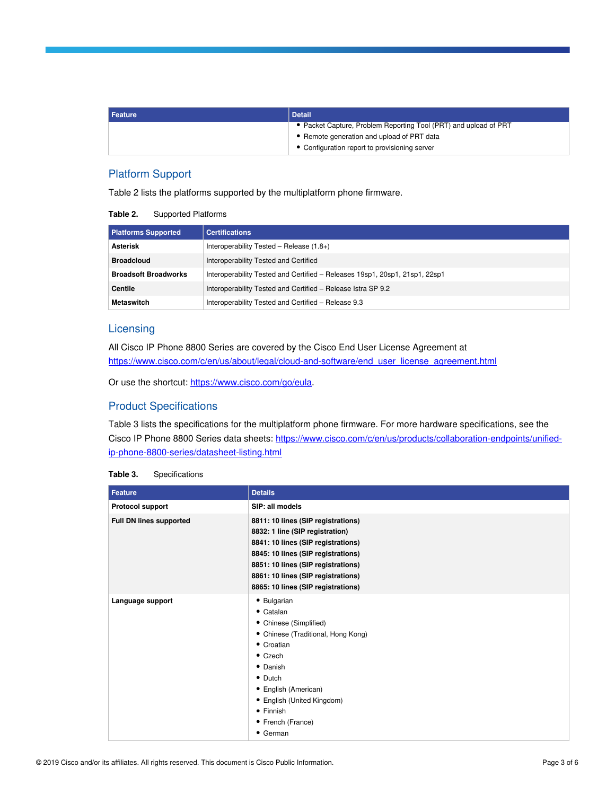| <b>Feature</b> | <b>Detail</b>                                                    |
|----------------|------------------------------------------------------------------|
|                | • Packet Capture, Problem Reporting Tool (PRT) and upload of PRT |
|                | • Remote generation and upload of PRT data                       |
|                | • Configuration report to provisioning server                    |

## Platform Support

Table 2 lists the platforms supported by the multiplatform phone firmware.

| Table 2. | <b>Supported Platforms</b> |
|----------|----------------------------|
|----------|----------------------------|

| <b>Platforms Supported</b>  | <b>Certifications</b>                                                       |
|-----------------------------|-----------------------------------------------------------------------------|
| <b>Asterisk</b>             | Interoperability Tested - Release $(1.8+)$                                  |
| <b>Broadcloud</b>           | Interoperability Tested and Certified                                       |
| <b>Broadsoft Broadworks</b> | Interoperability Tested and Certified - Releases 19sp1, 20sp1, 21sp1, 22sp1 |
| Centile                     | Interoperability Tested and Certified - Release Istra SP 9.2                |
| <b>Metaswitch</b>           | Interoperability Tested and Certified - Release 9.3                         |

## **Licensing**

All Cisco IP Phone 8800 Series are covered by the Cisco End User License Agreement at https://www.cisco.com/c/en/us/about/legal/cloud-and-software/end\_user\_license\_agreement.html

Or use the shortcut[: https://www.cisco.com/go/eula.](https://www.cisco.com/go/eula)

#### Product Specifications

Table 3 lists the specifications for the multiplatform phone firmware. For more hardware specifications, see the Cisco IP Phone 8800 Series data sheets[: https://www.cisco.com/c/en/us/products/collaboration-endpoints/unified](https://www.cisco.com/c/en/us/products/collaboration-endpoints/unified-ip-phone-8800-series/datasheet-listing.html)[ip-phone-8800-series/datasheet-listing.html](https://www.cisco.com/c/en/us/products/collaboration-endpoints/unified-ip-phone-8800-series/datasheet-listing.html)

| Table 3. | Specifications |
|----------|----------------|
|----------|----------------|

| <b>Feature</b>          | <b>Details</b>                                                                                                                                                                                                                                                      |
|-------------------------|---------------------------------------------------------------------------------------------------------------------------------------------------------------------------------------------------------------------------------------------------------------------|
| <b>Protocol support</b> | SIP: all models                                                                                                                                                                                                                                                     |
| Full DN lines supported | 8811: 10 lines (SIP registrations)<br>8832: 1 line (SIP registration)<br>8841: 10 lines (SIP registrations)<br>8845: 10 lines (SIP registrations)<br>8851: 10 lines (SIP registrations)<br>8861: 10 lines (SIP registrations)<br>8865: 10 lines (SIP registrations) |
| Language support        | • Bulgarian<br>• Catalan<br>• Chinese (Simplified)<br>• Chinese (Traditional, Hong Kong)<br>• Croatian<br>$\bullet$ Czech<br>• Danish<br>• Dutch<br>• English (American)<br>• English (United Kingdom)<br>• Finnish<br>• French (France)<br>• German                |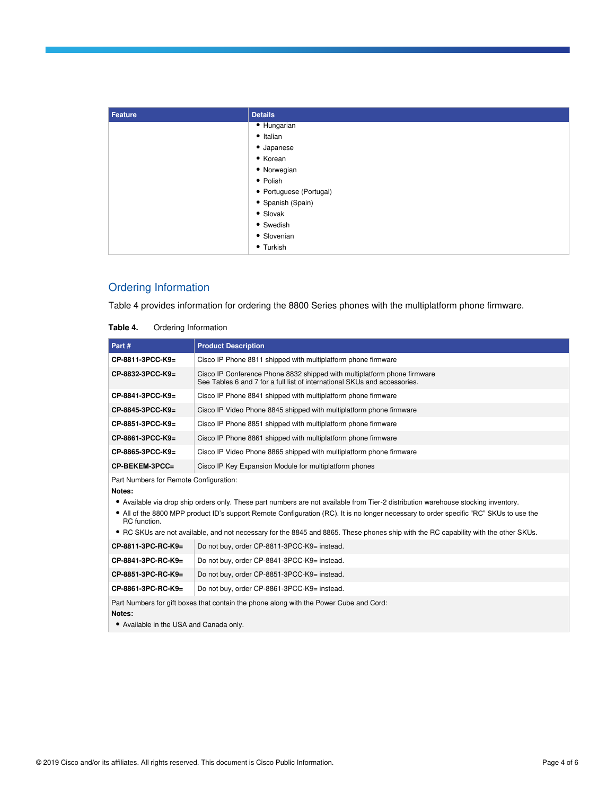| <b>Feature</b> | <b>Details</b>          |
|----------------|-------------------------|
|                | • Hungarian             |
|                | • Italian               |
|                | • Japanese              |
|                | • Korean                |
|                | • Norwegian             |
|                | • Polish                |
|                | • Portuguese (Portugal) |
|                | · Spanish (Spain)       |
|                | • Slovak                |
|                | • Swedish               |
|                | • Slovenian             |
|                | • Turkish               |

## Ordering Information

Table 4 provides information for ordering the 8800 Series phones with the multiplatform phone firmware.

| Part#                                                                                                                                       | <b>Product Description</b>                                                                                                                                                                                                                                                                                                                                                                                          |  |
|---------------------------------------------------------------------------------------------------------------------------------------------|---------------------------------------------------------------------------------------------------------------------------------------------------------------------------------------------------------------------------------------------------------------------------------------------------------------------------------------------------------------------------------------------------------------------|--|
| CP-8811-3PCC-K9=                                                                                                                            | Cisco IP Phone 8811 shipped with multiplatform phone firmware                                                                                                                                                                                                                                                                                                                                                       |  |
| CP-8832-3PCC-K9=                                                                                                                            | Cisco IP Conference Phone 8832 shipped with multiplatform phone firmware<br>See Tables 6 and 7 for a full list of international SKUs and accessories.                                                                                                                                                                                                                                                               |  |
| CP-8841-3PCC-K9=                                                                                                                            | Cisco IP Phone 8841 shipped with multiplatform phone firmware                                                                                                                                                                                                                                                                                                                                                       |  |
| CP-8845-3PCC-K9=                                                                                                                            | Cisco IP Video Phone 8845 shipped with multiplatform phone firmware                                                                                                                                                                                                                                                                                                                                                 |  |
| CP-8851-3PCC-K9=                                                                                                                            | Cisco IP Phone 8851 shipped with multiplatform phone firmware                                                                                                                                                                                                                                                                                                                                                       |  |
| CP-8861-3PCC-K9=                                                                                                                            | Cisco IP Phone 8861 shipped with multiplatform phone firmware                                                                                                                                                                                                                                                                                                                                                       |  |
| CP-8865-3PCC-K9=                                                                                                                            | Cisco IP Video Phone 8865 shipped with multiplatform phone firmware                                                                                                                                                                                                                                                                                                                                                 |  |
| CP-BEKEM-3PCC=                                                                                                                              | Cisco IP Key Expansion Module for multiplatform phones                                                                                                                                                                                                                                                                                                                                                              |  |
| Part Numbers for Remote Configuration:<br>Notes:                                                                                            |                                                                                                                                                                                                                                                                                                                                                                                                                     |  |
| RC function.                                                                                                                                | • Available via drop ship orders only. These part numbers are not available from Tier-2 distribution warehouse stocking inventory.<br>• All of the 8800 MPP product ID's support Remote Configuration (RC). It is no longer necessary to order specific "RC" SKUs to use the<br>• RC SKUs are not available, and not necessary for the 8845 and 8865. These phones ship with the RC capability with the other SKUs. |  |
| CP-8811-3PC-RC-K9=                                                                                                                          | Do not buy, order CP-8811-3PCC-K9= instead.                                                                                                                                                                                                                                                                                                                                                                         |  |
| CP-8841-3PC-RC-K9=                                                                                                                          | Do not buy, order CP-8841-3PCC-K9= instead.                                                                                                                                                                                                                                                                                                                                                                         |  |
| CP-8851-3PC-RC-K9=                                                                                                                          | Do not buy, order CP-8851-3PCC-K9= instead.                                                                                                                                                                                                                                                                                                                                                                         |  |
| CP-8861-3PC-RC-K9=                                                                                                                          | Do not buy, order CP-8861-3PCC-K9= instead.                                                                                                                                                                                                                                                                                                                                                                         |  |
| Part Numbers for gift boxes that contain the phone along with the Power Cube and Cord:<br>Notes:<br>• Available in the USA and Canada only. |                                                                                                                                                                                                                                                                                                                                                                                                                     |  |

| Table 4. | Ordering Information |
|----------|----------------------|
|          |                      |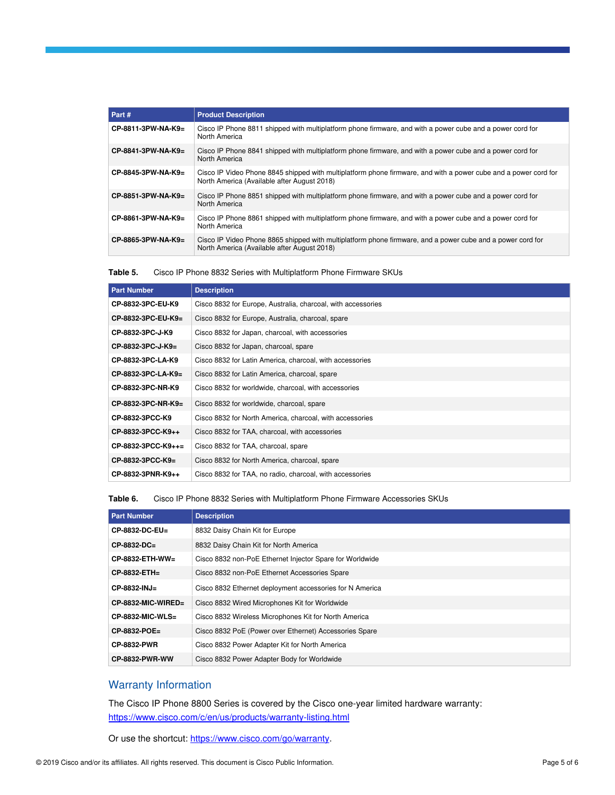| Part#                | <b>Product Description</b>                                                                                                                                     |
|----------------------|----------------------------------------------------------------------------------------------------------------------------------------------------------------|
| CP-8811-3PW-NA-K9=   | Cisco IP Phone 8811 shipped with multiplatform phone firmware, and with a power cube and a power cord for<br>North America                                     |
| $CP-8841-3PW-NA-K9=$ | Cisco IP Phone 8841 shipped with multiplatform phone firmware, and with a power cube and a power cord for<br>North America                                     |
| CP-8845-3PW-NA-K9=   | Cisco IP Video Phone 8845 shipped with multiplatform phone firmware, and with a power cube and a power cord for<br>North America (Available after August 2018) |
| $CP-8851-3PW-NA-K9=$ | Cisco IP Phone 8851 shipped with multiplatform phone firmware, and with a power cube and a power cord for<br>North America                                     |
| CP-8861-3PW-NA-K9=   | Cisco IP Phone 8861 shipped with multiplatform phone firmware, and with a power cube and a power cord for<br>North America                                     |
| CP-8865-3PW-NA-K9=   | Cisco IP Video Phone 8865 shipped with multiplatform phone firmware, and a power cube and a power cord for<br>North America (Available after August 2018)      |

| Table 5. |  | Cisco IP Phone 8832 Series with Multiplatform Phone Firmware SKUs |  |
|----------|--|-------------------------------------------------------------------|--|
|          |  |                                                                   |  |

| <b>Part Number</b> | <b>Description</b>                                           |
|--------------------|--------------------------------------------------------------|
| CP-8832-3PC-EU-K9  | Cisco 8832 for Europe, Australia, charcoal, with accessories |
| CP-8832-3PC-EU-K9= | Cisco 8832 for Europe, Australia, charcoal, spare            |
| CP-8832-3PC-J-K9   | Cisco 8832 for Japan, charcoal, with accessories             |
| CP-8832-3PC-J-K9=  | Cisco 8832 for Japan, charcoal, spare                        |
| CP-8832-3PC-LA-K9  | Cisco 8832 for Latin America, charcoal, with accessories     |
| CP-8832-3PC-LA-K9= | Cisco 8832 for Latin America, charcoal, spare                |
| CP-8832-3PC-NR-K9  | Cisco 8832 for worldwide, charcoal, with accessories         |
| CP-8832-3PC-NR-K9= | Cisco 8832 for worldwide, charcoal, spare                    |
| CP-8832-3PCC-K9    | Cisco 8832 for North America, charcoal, with accessories     |
| CP-8832-3PCC-K9++  | Cisco 8832 for TAA, charcoal, with accessories               |
| CP-8832-3PCC-K9++= | Cisco 8832 for TAA, charcoal, spare                          |
| CP-8832-3PCC-K9=   | Cisco 8832 for North America, charcoal, spare                |
| CP-8832-3PNR-K9++  | Cisco 8832 for TAA, no radio, charcoal, with accessories     |

**Table 6.** Cisco IP Phone 8832 Series with Multiplatform Phone Firmware Accessories SKUs

| <b>Part Number</b>    | <b>Description</b>                                       |
|-----------------------|----------------------------------------------------------|
| CP-8832-DC-EU=        | 8832 Daisy Chain Kit for Europe                          |
| $CP-8832-DC=$         | 8832 Daisy Chain Kit for North America                   |
| CP-8832-ETH-WW=       | Cisco 8832 non-PoE Ethernet Injector Spare for Worldwide |
| $CP-8832-ETH =$       | Cisco 8832 non-PoE Ethernet Accessories Spare            |
| CP-8832-INJ=          | Cisco 8832 Ethernet deployment accessories for N America |
| $CP-8832-MIC-WIRED=$  | Cisco 8832 Wired Microphones Kit for Worldwide           |
| $CP-8832-MIC-WLS=$    | Cisco 8832 Wireless Microphones Kit for North America    |
| CP-8832-POE=          | Cisco 8832 PoE (Power over Ethernet) Accessories Spare   |
| <b>CP-8832-PWR</b>    | Cisco 8832 Power Adapter Kit for North America           |
| <b>CP-8832-PWR-WW</b> | Cisco 8832 Power Adapter Body for Worldwide              |

## Warranty Information

The Cisco IP Phone 8800 Series is covered by the Cisco one-year limited hardware warranty: <https://www.cisco.com/c/en/us/products/warranty-listing.html>

Or use the shortcut[: https://www.cisco.com/go/warranty.](http://www.cisco.com/go/warranty)